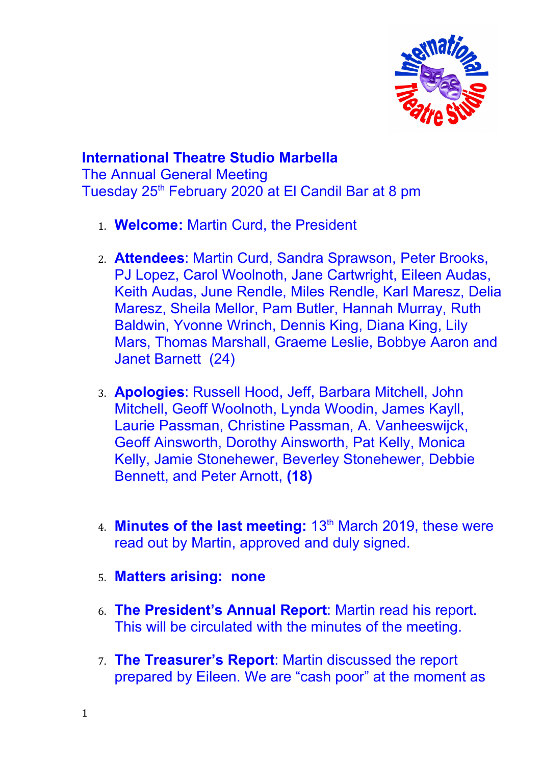

## **International Theatre Studio Marbella**

The Annual General Meeting Tuesday 25<sup>th</sup> February 2020 at El Candil Bar at 8 pm

- 1. **Welcome:** Martin Curd, the President
- 2. **Attendees**: Martin Curd, Sandra Sprawson, Peter Brooks, PJ Lopez, Carol Woolnoth, Jane Cartwright, Eileen Audas, Keith Audas, June Rendle, Miles Rendle, Karl Maresz, Delia Maresz, Sheila Mellor, Pam Butler, Hannah Murray, Ruth Baldwin, Yvonne Wrinch, Dennis King, Diana King, Lily Mars, Thomas Marshall, Graeme Leslie, Bobbye Aaron and Janet Barnett (24)
- 3. **Apologies**: Russell Hood, Jeff, Barbara Mitchell, John Mitchell, Geoff Woolnoth, Lynda Woodin, James Kayll, Laurie Passman, Christine Passman, A. Vanheeswijck, Geoff Ainsworth, Dorothy Ainsworth, Pat Kelly, Monica Kelly, Jamie Stonehewer, Beverley Stonehewer, Debbie Bennett, and Peter Arnott, **(18)**
- 4. **Minutes of the last meeting:** 13<sup>th</sup> March 2019, these were read out by Martin, approved and duly signed.
- 5. **Matters arising: none**
- 6. **The President's Annual Report**: Martin read his report. This will be circulated with the minutes of the meeting.
- 7. **The Treasurer's Report**: Martin discussed the report prepared by Eileen. We are "cash poor" at the moment as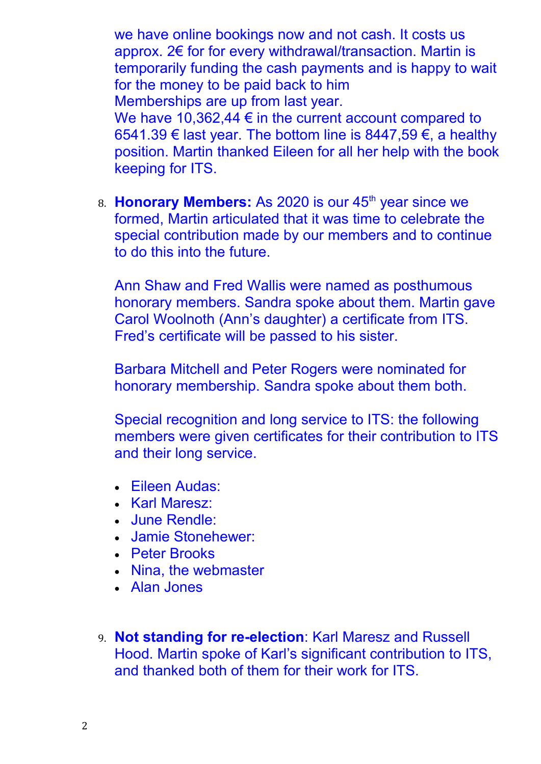we have online bookings now and not cash. It costs us approx. 2€ for for every withdrawal/transaction. Martin is temporarily funding the cash payments and is happy to wait for the money to be paid back to him Memberships are up from last year.

We have 10,362,44 € in the current account compared to 6541.39 € last year. The bottom line is 8447,59 €, a healthy position. Martin thanked Eileen for all her help with the book keeping for ITS.

8. **Honorary Members:** As 2020 is our 45<sup>th</sup> year since we formed, Martin articulated that it was time to celebrate the special contribution made by our members and to continue to do this into the future.

Ann Shaw and Fred Wallis were named as posthumous honorary members. Sandra spoke about them. Martin gave Carol Woolnoth (Ann's daughter) a certificate from ITS. Fred's certificate will be passed to his sister.

Barbara Mitchell and Peter Rogers were nominated for honorary membership. Sandra spoke about them both.

Special recognition and long service to ITS: the following members were given certificates for their contribution to ITS and their long service.

- Eileen Audas:
- Karl Maresz:
- June Rendle:
- Jamie Stonehewer:
- Peter Brooks
- Nina, the webmaster
- Alan Jones
- 9. **Not standing for re-election**: Karl Maresz and Russell Hood. Martin spoke of Karl's significant contribution to ITS, and thanked both of them for their work for ITS.